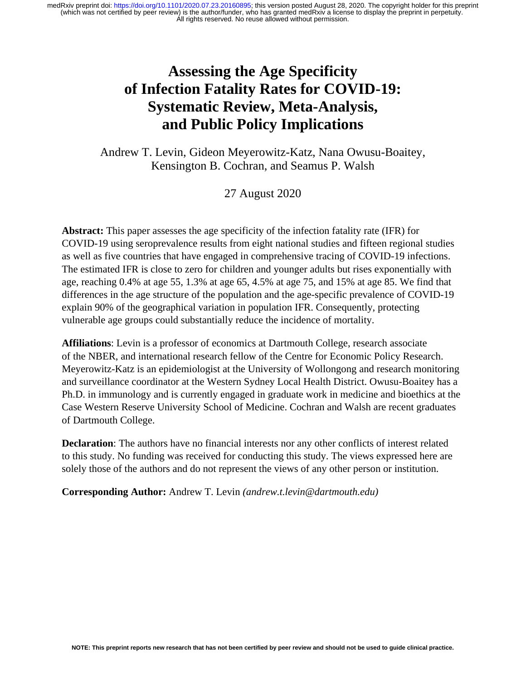# **Assessing the Age Specificity of Infection Fatality Rates for COVID-19: Systematic Review, Meta-Analysis, and Public Policy Implications**

Andrew T. Levin, Gideon Meyerowitz-Katz, Nana Owusu-Boaitey, Kensington B. Cochran, and Seamus P. Walsh

27 August 2020

**Abstract:** This paper assesses the age specificity of the infection fatality rate (IFR) for COVID-19 using seroprevalence results from eight national studies and fifteen regional studies as well as five countries that have engaged in comprehensive tracing of COVID-19 infections. The estimated IFR is close to zero for children and younger adults but rises exponentially with age, reaching 0.4% at age 55, 1.3% at age 65, 4.5% at age 75, and 15% at age 85. We find that differences in the age structure of the population and the age-specific prevalence of COVID-19 explain 90% of the geographical variation in population IFR. Consequently, protecting vulnerable age groups could substantially reduce the incidence of mortality.

**Affiliations**: Levin is a professor of economics at Dartmouth College, research associate of the NBER, and international research fellow of the Centre for Economic Policy Research. Meyerowitz-Katz is an epidemiologist at the University of Wollongong and research monitoring and surveillance coordinator at the Western Sydney Local Health District. Owusu-Boaitey has a Ph.D. in immunology and is currently engaged in graduate work in medicine and bioethics at the Case Western Reserve University School of Medicine. Cochran and Walsh are recent graduates of Dartmouth College.

**Declaration**: The authors have no financial interests nor any other conflicts of interest related to this study. No funding was received for conducting this study. The views expressed here are solely those of the authors and do not represent the views of any other person or institution.

**Corresponding Author:** Andrew T. Levin *(andrew.t.levin@dartmouth.edu)*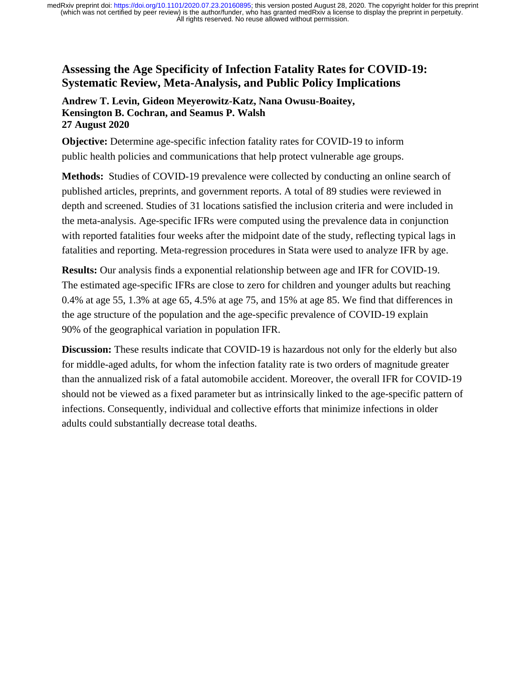### **Assessing the Age Specificity of Infection Fatality Rates for COVID-19: Systematic Review, Meta-Analysis, and Public Policy Implications**

#### **Andrew T. Levin, Gideon Meyerowitz-Katz, Nana Owusu-Boaitey, Kensington B. Cochran, and Seamus P. Walsh 27 August 2020**

**Objective:** Determine age-specific infection fatality rates for COVID-19 to inform public health policies and communications that help protect vulnerable age groups.

**Methods:** Studies of COVID-19 prevalence were collected by conducting an online search of published articles, preprints, and government reports. A total of 89 studies were reviewed in depth and screened. Studies of 31 locations satisfied the inclusion criteria and were included in the meta-analysis. Age-specific IFRs were computed using the prevalence data in conjunction with reported fatalities four weeks after the midpoint date of the study, reflecting typical lags in fatalities and reporting. Meta-regression procedures in Stata were used to analyze IFR by age.

**Results:** Our analysis finds a exponential relationship between age and IFR for COVID-19. The estimated age-specific IFRs are close to zero for children and younger adults but reaching 0.4% at age 55, 1.3% at age 65, 4.5% at age 75, and 15% at age 85. We find that differences in the age structure of the population and the age-specific prevalence of COVID-19 explain 90% of the geographical variation in population IFR.

**Discussion:** These results indicate that COVID-19 is hazardous not only for the elderly but also for middle-aged adults, for whom the infection fatality rate is two orders of magnitude greater than the annualized risk of a fatal automobile accident. Moreover, the overall IFR for COVID-19 should not be viewed as a fixed parameter but as intrinsically linked to the age-specific pattern of infections. Consequently, individual and collective efforts that minimize infections in older adults could substantially decrease total deaths.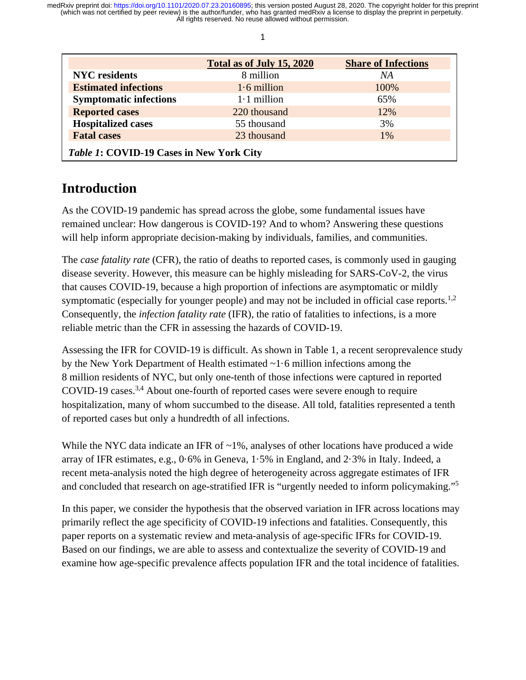|                                          | Total as of July 15, 2020 | <b>Share of Infections</b> |  |  |  |
|------------------------------------------|---------------------------|----------------------------|--|--|--|
| <b>NYC</b> residents                     | 8 million                 | NA                         |  |  |  |
| <b>Estimated infections</b>              | $1.6$ million             | 100%                       |  |  |  |
| <b>Symptomatic infections</b>            | $1.1$ million             | 65%                        |  |  |  |
| <b>Reported cases</b>                    | 220 thousand              | 12%                        |  |  |  |
| <b>Hospitalized cases</b>                | 55 thousand               | 3%                         |  |  |  |
| <b>Fatal cases</b>                       | 23 thousand               | $1\%$                      |  |  |  |
| Table 1: COVID-19 Cases in New York City |                           |                            |  |  |  |

# **Introduction**

As the COVID-19 pandemic has spread across the globe, some fundamental issues have remained unclear: How dangerous is COVID-19? And to whom? Answering these questions will help inform appropriate decision-making by individuals, families, and communities.

The *case fatality rate* (CFR), the ratio of deaths to reported cases, is commonly used in gauging disease severity. However, this measure can be highly misleading for SARS-CoV-2, the virus that causes COVID-19, because a high proportion of infections are asymptomatic or mildly symptomatic (especially for younger people) and may not be included in official case reports.<sup>1,2</sup> Consequently, the *infection fatality rate* (IFR), the ratio of fatalities to infections, is a more reliable metric than the CFR in assessing the hazards of COVID-19.

Assessing the IFR for COVID-19 is difficult. As shown in Table 1, a recent seroprevalence study by the New York Department of Health estimated ~1·6 million infections among the 8 million residents of NYC, but only one-tenth of those infections were captured in reported COVID-19 cases.<sup>3,4</sup> About one-fourth of reported cases were severe enough to require hospitalization, many of whom succumbed to the disease. All told, fatalities represented a tenth of reported cases but only a hundredth of all infections.

While the NYC data indicate an IFR of  $\sim$ 1%, analyses of other locations have produced a wide array of IFR estimates, e.g., 0·6% in Geneva, 1·5% in England, and 2·3% in Italy. Indeed, a recent meta-analysis noted the high degree of heterogeneity across aggregate estimates of IFR and concluded that research on age-stratified IFR is "urgently needed to inform policymaking."5

In this paper, we consider the hypothesis that the observed variation in IFR across locations may primarily reflect the age specificity of COVID-19 infections and fatalities. Consequently, this paper reports on a systematic review and meta-analysis of age-specific IFRs for COVID-19. Based on our findings, we are able to assess and contextualize the severity of COVID-19 and examine how age-specific prevalence affects population IFR and the total incidence of fatalities.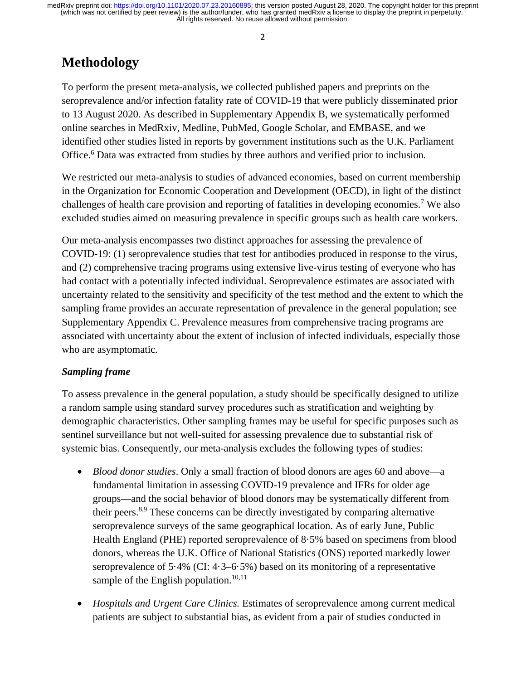#### 2

# **Methodology**

To perform the present meta-analysis, we collected published papers and preprints on the seroprevalence and/or infection fatality rate of COVID-19 that were publicly disseminated prior to 13 August 2020. As described in Supplementary Appendix B, we systematically performed online searches in MedRxiv, Medline, PubMed, Google Scholar, and EMBASE, and we identified other studies listed in reports by government institutions such as the U.K. Parliament Office.<sup>6</sup> Data was extracted from studies by three authors and verified prior to inclusion.

We restricted our meta-analysis to studies of advanced economies, based on current membership in the Organization for Economic Cooperation and Development (OECD), in light of the distinct challenges of health care provision and reporting of fatalities in developing economies.7 We also excluded studies aimed on measuring prevalence in specific groups such as health care workers.

Our meta-analysis encompasses two distinct approaches for assessing the prevalence of COVID-19: (1) seroprevalence studies that test for antibodies produced in response to the virus, and (2) comprehensive tracing programs using extensive live-virus testing of everyone who has had contact with a potentially infected individual. Seroprevalence estimates are associated with uncertainty related to the sensitivity and specificity of the test method and the extent to which the sampling frame provides an accurate representation of prevalence in the general population; see Supplementary Appendix C. Prevalence measures from comprehensive tracing programs are associated with uncertainty about the extent of inclusion of infected individuals, especially those who are asymptomatic.

#### *Sampling frame*

To assess prevalence in the general population, a study should be specifically designed to utilize a random sample using standard survey procedures such as stratification and weighting by demographic characteristics. Other sampling frames may be useful for specific purposes such as sentinel surveillance but not well-suited for assessing prevalence due to substantial risk of systemic bias. Consequently, our meta-analysis excludes the following types of studies:

- *Blood donor studies*. Only a small fraction of blood donors are ages 60 and above—a fundamental limitation in assessing COVID-19 prevalence and IFRs for older age groups—and the social behavior of blood donors may be systematically different from their peers.<sup>8,9</sup> These concerns can be directly investigated by comparing alternative seroprevalence surveys of the same geographical location. As of early June, Public Health England (PHE) reported seroprevalence of 8·5% based on specimens from blood donors, whereas the U.K. Office of National Statistics (ONS) reported markedly lower seroprevalence of 5·4% (CI: 4·3–6·5%) based on its monitoring of a representative sample of the English population.<sup>10,11</sup>
- *Hospitals and Urgent Care Clinics.* Estimates of seroprevalence among current medical patients are subject to substantial bias, as evident from a pair of studies conducted in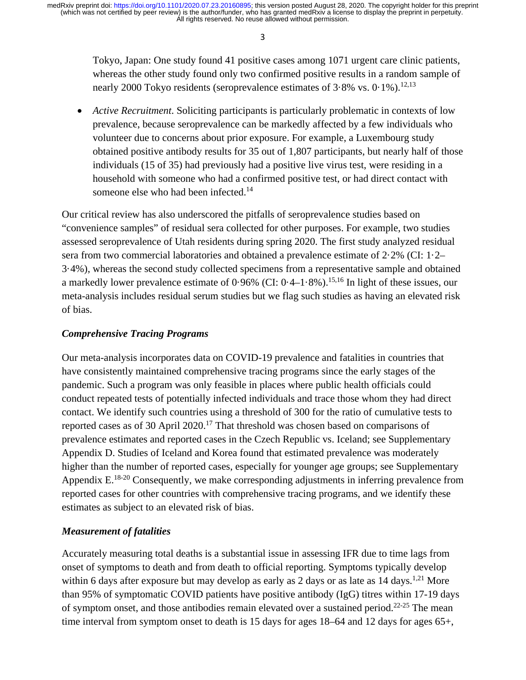3

Tokyo, Japan: One study found 41 positive cases among 1071 urgent care clinic patients, whereas the other study found only two confirmed positive results in a random sample of nearly 2000 Tokyo residents (seroprevalence estimates of  $3.8\%$  vs.  $0.1\%$ ).<sup>12,13</sup>

• *Active Recruitment*. Soliciting participants is particularly problematic in contexts of low prevalence, because seroprevalence can be markedly affected by a few individuals who volunteer due to concerns about prior exposure. For example, a Luxembourg study obtained positive antibody results for 35 out of 1,807 participants, but nearly half of those individuals (15 of 35) had previously had a positive live virus test, were residing in a household with someone who had a confirmed positive test, or had direct contact with someone else who had been infected.<sup>14</sup>

Our critical review has also underscored the pitfalls of seroprevalence studies based on "convenience samples" of residual sera collected for other purposes. For example, two studies assessed seroprevalence of Utah residents during spring 2020. The first study analyzed residual sera from two commercial laboratories and obtained a prevalence estimate of 2·2% (CI: 1·2– 3·4%), whereas the second study collected specimens from a representative sample and obtained a markedly lower prevalence estimate of  $0.96\%$  (CI:  $0.4-1.8\%$ ).<sup>15,16</sup> In light of these issues, our meta-analysis includes residual serum studies but we flag such studies as having an elevated risk of bias.

#### *Comprehensive Tracing Programs*

Our meta-analysis incorporates data on COVID-19 prevalence and fatalities in countries that have consistently maintained comprehensive tracing programs since the early stages of the pandemic. Such a program was only feasible in places where public health officials could conduct repeated tests of potentially infected individuals and trace those whom they had direct contact. We identify such countries using a threshold of 300 for the ratio of cumulative tests to reported cases as of 30 April  $2020$ .<sup>17</sup> That threshold was chosen based on comparisons of prevalence estimates and reported cases in the Czech Republic vs. Iceland; see Supplementary Appendix D. Studies of Iceland and Korea found that estimated prevalence was moderately higher than the number of reported cases, especially for younger age groups; see Supplementary Appendix E.<sup>18-20</sup> Consequently, we make corresponding adjustments in inferring prevalence from reported cases for other countries with comprehensive tracing programs, and we identify these estimates as subject to an elevated risk of bias.

#### *Measurement of fatalities*

Accurately measuring total deaths is a substantial issue in assessing IFR due to time lags from onset of symptoms to death and from death to official reporting. Symptoms typically develop within 6 days after exposure but may develop as early as 2 days or as late as  $14 \text{ days}$ .<sup>1,21</sup> More than 95% of symptomatic COVID patients have positive antibody (IgG) titres within 17-19 days of symptom onset, and those antibodies remain elevated over a sustained period.<sup>22-25</sup> The mean time interval from symptom onset to death is 15 days for ages 18–64 and 12 days for ages 65+,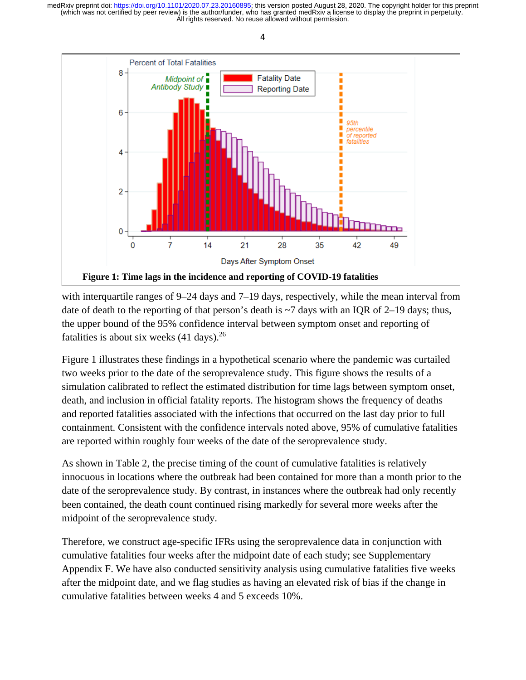

with interquartile ranges of 9–24 days and 7–19 days, respectively, while the mean interval from date of death to the reporting of that person's death is  $\sim$ 7 days with an IQR of 2–19 days; thus, the upper bound of the 95% confidence interval between symptom onset and reporting of fatalities is about six weeks  $(41 \text{ days})$ .<sup>26</sup>

Figure 1 illustrates these findings in a hypothetical scenario where the pandemic was curtailed two weeks prior to the date of the seroprevalence study. This figure shows the results of a simulation calibrated to reflect the estimated distribution for time lags between symptom onset, death, and inclusion in official fatality reports. The histogram shows the frequency of deaths and reported fatalities associated with the infections that occurred on the last day prior to full containment. Consistent with the confidence intervals noted above, 95% of cumulative fatalities are reported within roughly four weeks of the date of the seroprevalence study.

As shown in Table 2, the precise timing of the count of cumulative fatalities is relatively innocuous in locations where the outbreak had been contained for more than a month prior to the date of the seroprevalence study. By contrast, in instances where the outbreak had only recently been contained, the death count continued rising markedly for several more weeks after the midpoint of the seroprevalence study.

Therefore, we construct age-specific IFRs using the seroprevalence data in conjunction with cumulative fatalities four weeks after the midpoint date of each study; see Supplementary Appendix F. We have also conducted sensitivity analysis using cumulative fatalities five weeks after the midpoint date, and we flag studies as having an elevated risk of bias if the change in cumulative fatalities between weeks 4 and 5 exceeds 10%.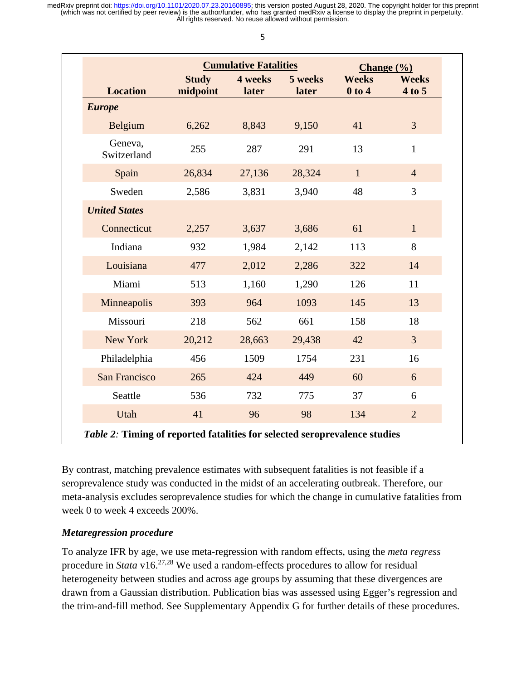|                          |                  |                  | Change $(\% )$               |                        |
|--------------------------|------------------|------------------|------------------------------|------------------------|
| <b>Study</b><br>midpoint | 4 weeks<br>later | 5 weeks<br>later | <b>Weeks</b><br>$0$ to $4$   | <b>Weeks</b><br>4 to 5 |
|                          |                  |                  |                              |                        |
| 6,262                    | 8,843            | 9,150            | 41                           | $\overline{3}$         |
| 255                      | 287              | 291              | 13                           | $\mathbf{1}$           |
| 26,834                   | 27,136           | 28,324           | $\mathbf{1}$                 | $\overline{4}$         |
| 2,586                    | 3,831            | 3,940            | 48                           | 3                      |
|                          |                  |                  |                              |                        |
| 2,257                    | 3,637            | 3,686            | 61                           | $\mathbf{1}$           |
| 932                      | 1,984            | 2,142            | 113                          | 8                      |
| 477                      | 2,012            | 2,286            | 322                          | 14                     |
| 513                      | 1,160            | 1,290            | 126                          | 11                     |
| 393                      | 964              | 1093             | 145                          | 13                     |
| 218                      | 562              | 661              | 158                          | 18                     |
| 20,212                   | 28,663           | 29,438           | 42                           | $\overline{3}$         |
| 456                      | 1509             | 1754             | 231                          | 16                     |
| 265                      | 424              | 449              | 60                           | 6                      |
| 536                      | 732              | 775              | 37                           | 6                      |
| 41                       | 96               | 98               | 134                          | $\overline{2}$         |
|                          |                  |                  | <b>Cumulative Fatalities</b> |                        |

By contrast, matching prevalence estimates with subsequent fatalities is not feasible if a seroprevalence study was conducted in the midst of an accelerating outbreak. Therefore, our meta-analysis excludes seroprevalence studies for which the change in cumulative fatalities from week 0 to week 4 exceeds 200%.

#### *Metaregression procedure*

To analyze IFR by age, we use meta-regression with random effects, using the *meta regress* procedure in *Stata* v16.27,28 We used a random-effects procedures to allow for residual heterogeneity between studies and across age groups by assuming that these divergences are drawn from a Gaussian distribution. Publication bias was assessed using Egger's regression and the trim-and-fill method. See Supplementary Appendix G for further details of these procedures.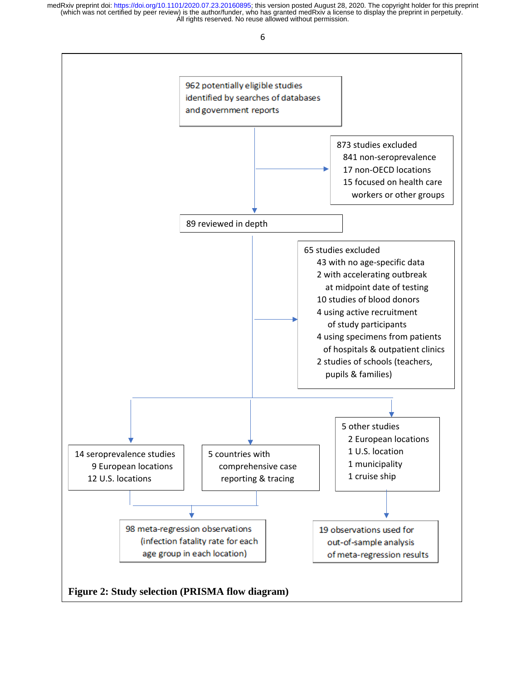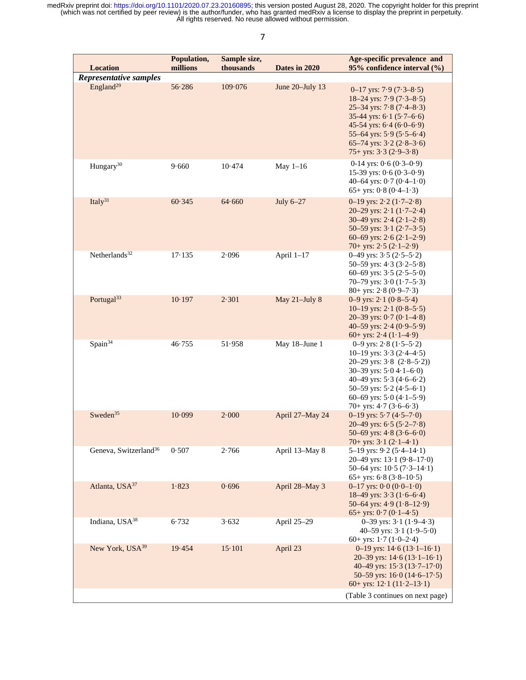| <b>Location</b>                   | Population,<br>millions | Sample size,<br>thousands | Dates in 2020      | Age-specific prevalence and<br>95% confidence interval (%)                                                                                                                                                                                                                                                   |
|-----------------------------------|-------------------------|---------------------------|--------------------|--------------------------------------------------------------------------------------------------------------------------------------------------------------------------------------------------------------------------------------------------------------------------------------------------------------|
| Representative samples            |                         |                           |                    |                                                                                                                                                                                                                                                                                                              |
| England <sup>29</sup>             | 56.286                  | 109.076                   | June $20$ -July 13 | $0-17$ yrs: 7.9 $(7.3-8.5)$<br>18-24 yrs: $7.9$ ( $7.3-8.5$ )<br>$25-34$ yrs: $7.8$ ( $7.4-8.3$ )<br>35-44 yrs: $6 \cdot 1$ (5 $\cdot 7 - 6 \cdot 6$ )<br>45-54 yrs: $6.4$ ( $6.0-6.9$ )<br>55-64 yrs: $5.9$ ( $5.5-6.4$ )<br>65–74 yrs: $3 \cdot 2 (2 \cdot 8 - 3 \cdot 6)$<br>75+ yrs: $3.3$ ( $2.9-3.8$ ) |
| Hungary <sup>30</sup>             | 9.660                   | 10.474                    | May $1-16$         | 0-14 yrs: $0.6(0.3-0.9)$<br>15-39 yrs: $0.6(0.3-0.9)$<br>40–64 yrs: $0.7(0.4-1.0)$<br>65+ yrs: $0.8$ ( $0.4-1.3$ )                                                                                                                                                                                           |
| Italy $31$                        | 60.345                  | 64.660                    | July $6-27$        | 0–19 yrs: $2.2(1.7-2.8)$<br>20-29 yrs: $2 \cdot 1 (1 \cdot 7 - 2 \cdot 4)$<br>30–49 yrs: $2.4$ ( $2.1-2.8$ )<br>50-59 yrs: $3.1$ ( $2.7-3.5$ )<br>60–69 yrs: $2.6$ ( $2.1$ – $2.9$ )<br>70+ yrs: $2.5$ ( $2.1-2.9$ )                                                                                         |
| Netherlands <sup>32</sup>         | 17.135                  | 2.096                     | April 1-17         | 0-49 yrs: $3.5(2.5-5.2)$<br>50-59 yrs: $4.3$ ( $3.2-5.8$ )<br>60-69 yrs: $3.5(2.5-5.0)$<br>70-79 yrs: $3.0$ (1.7-5.3)<br>$80+$ yrs: 2.8 (0.9–7.3)                                                                                                                                                            |
| Portugal <sup>33</sup>            | 10.197                  | 2.301                     | May 21-July 8      | 0–9 yrs: $2.1(0.8-5.4)$<br>10–19 yrs: $2 \cdot 1$ (0 $\cdot 8$ –5 $\cdot 5$ )<br>20–39 yrs: $0.7(0.1-4.8)$<br>40-59 yrs: $2.4(0.9-5.9)$<br>60+ yrs: $2.4(1.1-4.9)$                                                                                                                                           |
| Spain <sup>34</sup>               | 46.755                  | 51.958                    | May 18-June 1      | 0-9 yrs: $2.8(1.5-5.2)$<br>10-19 yrs: $3.3$ (2.4-4.5)<br>20-29 yrs: $3.8$ $(2.8-5.2)$<br>30-39 yrs: $5.04 \cdot 1 - 6.0$ )<br>40–49 yrs: $5.3$ (4.6–6.2)<br>50-59 yrs: 5.2 (4.5-6.1)<br>60-69 yrs: $5.0$ (4.1-5.9)<br>70+ yrs: $4.7$ ( $3.6-6.3$ )                                                           |
| Sweden <sup>35</sup>              | 10.099                  | 2.000                     | April 27-May 24    | 0-19 yrs: $5.7(4.5-7.0)$<br>20–49 yrs: $6.5$ ( $5.2$ – $7.8$ )<br>50-69 yrs: $4.8$ ( $3.6$ -6.0)<br>70+ yrs: $3 \cdot 1 (2 \cdot 1 - 4 \cdot 1)$                                                                                                                                                             |
| Geneva, Switzerland <sup>36</sup> | 0.507                   | 2.766                     | April 13-May 8     | 5-19 yrs: $9.2$ (5.4-14.1)<br>20–49 yrs: $13 \cdot 1 (9 \cdot 8 - 17 \cdot 0)$<br>50–64 yrs: $10.5(7.3–14.1)$<br>65+ yrs: $6.8$ ( $3.8-10.5$ )                                                                                                                                                               |
| Atlanta, USA <sup>37</sup>        | 1.823                   | 0.696                     | April 28-May 3     | $0-17$ yrs: $0.0$ $(0.0-1.0)$<br>18–49 yrs: $3 \cdot 3 (1 \cdot 6 - 6 \cdot 4)$<br>50–64 yrs: $4.9(1.8–12.9)$<br>65+ yrs: $0.7$ (0.1–4.5)                                                                                                                                                                    |
| Indiana, USA <sup>38</sup>        | 6.732                   | 3.632                     | April 25-29        | 0–39 yrs: $3.1(1.9-4.3)$<br>40-59 yrs: $3.1(1.9-5.0)$<br>60+ yrs: $1.7$ ( $1.0-2.4$ )                                                                                                                                                                                                                        |
| New York, USA <sup>39</sup>       | 19.454                  | $15 \cdot 101$            | April 23           | 0–19 yrs: $14.6(13.1–16.1)$<br>20–39 yrs: $14.6(13.1–16.1)$<br>40–49 yrs: $15.3(13.7–17.0)$<br>50–59 yrs: $16.0(14.6–17.5)$<br>60+ yrs: $12 \cdot 1 (11 \cdot 2 - 13 \cdot 1)$<br>(Table 3 continues on next page)                                                                                           |

7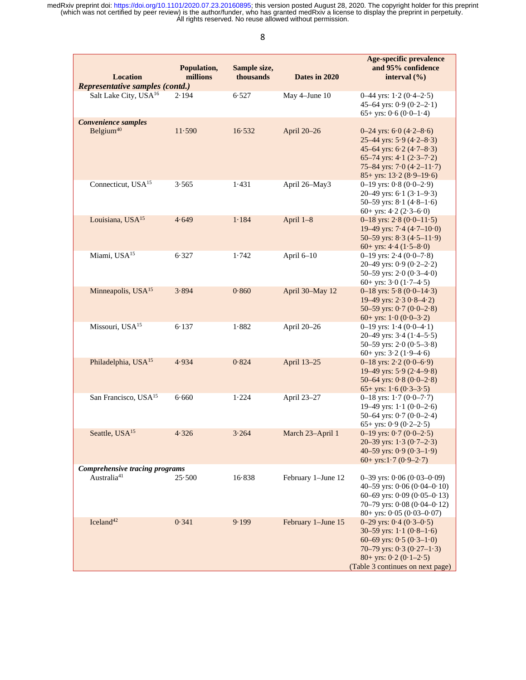| <b>Location</b><br>Representative samples (contd.)        | Population,<br>millions | Sample size,<br>thousands | Dates in 2020      | <b>Age-specific prevalence</b><br>and 95% confidence<br>interval $(\% )$                                                                                                                            |
|-----------------------------------------------------------|-------------------------|---------------------------|--------------------|-----------------------------------------------------------------------------------------------------------------------------------------------------------------------------------------------------|
| Salt Lake City, USA <sup>16</sup>                         | 2.194                   | 6.527                     | May 4-June 10      | 0–44 yrs: $1.2$ (0.4–2.5)<br>45-64 yrs: $0.9$ $(0.2-2.1)$<br>65+ yrs: $0.6 (0.0-1.4)$                                                                                                               |
| <b>Convenience samples</b><br>Belgium <sup>40</sup>       | 11.590                  | 16.532                    | April 20-26        | 0-24 yrs: $6.0$ (4.2-8.6)<br>25–44 yrs: $5.9$ (4.2–8.3)<br>45-64 yrs: $6.2$ (4.7-8.3)<br>65-74 yrs: $4.1$ (2.3-7.2)<br>75-84 yrs: $7.0$ (4.2-11.7)<br>$85+$ yrs: $13.2 (8.9-19.6)$                  |
| Connecticut, USA <sup>15</sup>                            | 3.565                   | 1.431                     | April 26-May3      | $0-19$ yrs: $0.8$ $(0.0-2.9)$<br>20-49 yrs: $6 \cdot 1 (3 \cdot 1 - 9 \cdot 3)$<br>50-59 yrs: $8.1$ (4.8-1.6)<br>60+ yrs: $4.2$ ( $2.3-6.0$ )                                                       |
| Louisiana, USA <sup>15</sup>                              | 4.649                   | 1.184                     | April 1-8          | 0–18 yrs: $2.8(0.0-11.5)$<br>19–49 yrs: $7.4$ (4.7–10.0)<br>50–59 yrs: $8.3(4.5–11.9)$<br>60+ yrs: $4.4$ $(1.5-8.0)$                                                                                |
| Miami, USA <sup>15</sup>                                  | 6.327                   | 1.742                     | April 6-10         | 0-19 yrs: $2.4$ (0.0-7.8)<br>20-49 yrs: $0.9$ $(0.2-2.2)$<br>50-59 yrs: $2.0$ (0.3-4.0)<br>60+ yrs: $3.0(1.7-4.5)$                                                                                  |
| Minneapolis, USA <sup>15</sup>                            | 3.894                   | 0.860                     | April 30-May 12    | 0-18 yrs: $5.8(0.0-14.3)$<br>19–49 yrs: $2.308-4.2$<br>50-59 yrs: $0.7$ $(0.0-2.8)$<br>60+ yrs: $1.0 (0.0-3.2)$                                                                                     |
| Missouri, USA <sup>15</sup>                               | 6.137                   | 1.882                     | April 20-26        | 0–19 yrs: $1.4(0.0-4.1)$<br>20–49 yrs: $3.4$ (1.4–5.5)<br>50-59 yrs: $2.0$ (0.5-3.8)<br>60+ yrs: $3.2(1.9-4.6)$                                                                                     |
| Philadelphia, USA <sup>15</sup>                           | 4.934                   | 0.824                     | April 13-25        | 0-18 yrs: $2.2 (0.0-6.9)$<br>19-49 yrs: $5.9$ (2.4-9.8)<br>50-64 yrs: $0.8(0.0-2.8)$<br>65+ yrs: $1.6 (0.3-3.5)$                                                                                    |
| San Francisco, USA <sup>15</sup>                          | 6.660                   | 1.224                     | April 23-27        | 0-18 yrs: $1.7(0.0-7.7)$<br>19–49 yrs: $1 \cdot 1$ (0 $\cdot$ 0–2 $\cdot$ 6)<br>50-64 yrs: $0.7$ ( $0.0$ -2.4)<br>65+ yrs: $0.9$ $(0.2-2.5)$                                                        |
| Seattle, USA <sup>15</sup>                                | 4.326                   | 3.264                     | March 23-April 1   | 0-19 yrs: $0.7(0.0-2.5)$<br>20-39 yrs: $1.3$ (0.7-2.3)<br>40-59 yrs: $0.9$ ( $0.3-1.9$ )<br>60+ yrs: $1.7(0.9-2.7)$                                                                                 |
| Comprehensive tracing programs<br>Australia <sup>41</sup> | 25.500                  | 16.838                    | February 1-June 12 | $0-39$ yrs: $0.06$ $(0.03-0.09)$<br>40-59 yrs: $0.06(0.04 - 0.10)$<br>60-69 yrs: $0.09$ ( $0.05$ -0.13)<br>70-79 yrs: $0.08$ ( $0.04$ - $0.12$ )<br>$80+$ yrs: $0.05(0.03-0.07)$                    |
| $I$ celand <sup>42</sup>                                  | 0.341                   | 9.199                     | February 1-June 15 | $0-29$ yrs: $0.4$ $(0.3-0.5)$<br>30-59 yrs: $1 \cdot 1$ (0.8-1.6)<br>60-69 yrs: $0.5(0.3-1.0)$<br>70–79 yrs: $0.3$ ( $0.27-1.3$ )<br>$80+$ yrs: $0.2 (0.1-2.5)$<br>(Table 3 continues on next page) |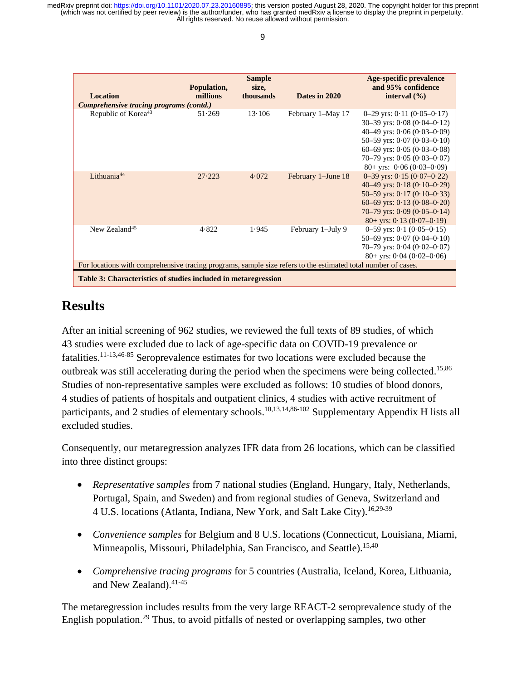| <b>Location</b><br>Comprehensive tracing programs (contd.)                                                                                                                      | Population,<br>millions | <b>Sample</b><br>size,<br>thousands | Dates in 2020      | Age-specific prevalence<br>and 95% confidence<br>interval $(\% )$                                                                                                                                                                                 |  |
|---------------------------------------------------------------------------------------------------------------------------------------------------------------------------------|-------------------------|-------------------------------------|--------------------|---------------------------------------------------------------------------------------------------------------------------------------------------------------------------------------------------------------------------------------------------|--|
| Republic of Korea <sup>43</sup>                                                                                                                                                 | 51.269                  | $13 \cdot 106$                      | February 1-May 17  | $0-29$ yrs: $0.11$ $(0.05-0.17)$<br>$30-39$ yrs: $0.08$ $(0.04-0.12)$<br>40–49 yrs: $0.06(0.03-0.09)$<br>50-59 yrs: $0.07$ ( $0.03$ - $0.10$ )<br>60-69 yrs: $0.05(0.03-0.08)$<br>70-79 yrs: $0.05(0.03-0.07)$<br>$80+$ yrs: $0.06$ $(0.03-0.09)$ |  |
| Lithuania <sup>44</sup>                                                                                                                                                         | 27.223                  | 4.072                               | February 1-June 18 | $0-39$ yrs: $0.15(0.07-0.22)$<br>40–49 yrs: $0.18(0.10-0.29)$<br>50–59 yrs: $0.17(0.10-0.33)$<br>60–69 yrs: $0.13(0.08-0.20)$<br>70–79 yrs: $0.09$ ( $0.05$ – $0.14$ )<br>$80+$ yrs: 0.13 (0.07–0.19)                                             |  |
| New Zealand <sup>45</sup>                                                                                                                                                       | 4.822                   | 1.945                               | February 1-July 9  | $0-59$ yrs: $0.1$ $(0.05-0.15)$<br>50–69 yrs: $0.07(0.04-0.10)$<br>70-79 yrs: $0.04$ ( $0.02$ - $0.07$ )<br>$80+$ yrs: $0.04$ (0.02–0.06)                                                                                                         |  |
| For locations with comprehensive tracing programs, sample size refers to the estimated total number of cases.<br>Table 3: Characteristics of studies included in metaregression |                         |                                     |                    |                                                                                                                                                                                                                                                   |  |

# **Results**

After an initial screening of 962 studies, we reviewed the full texts of 89 studies, of which 43 studies were excluded due to lack of age-specific data on COVID-19 prevalence or fatalities.11-13,46-85 Seroprevalence estimates for two locations were excluded because the outbreak was still accelerating during the period when the specimens were being collected.<sup>15,86</sup> Studies of non-representative samples were excluded as follows: 10 studies of blood donors, 4 studies of patients of hospitals and outpatient clinics, 4 studies with active recruitment of participants, and 2 studies of elementary schools.<sup>10,13,14,86-102</sup> Supplementary Appendix H lists all excluded studies.

Consequently, our metaregression analyzes IFR data from 26 locations, which can be classified into three distinct groups:

- *Representative samples* from 7 national studies (England, Hungary, Italy, Netherlands, Portugal, Spain, and Sweden) and from regional studies of Geneva, Switzerland and 4 U.S. locations (Atlanta, Indiana, New York, and Salt Lake City).<sup>16,29-39</sup>
- *Convenience samples* for Belgium and 8 U.S. locations (Connecticut, Louisiana, Miami, Minneapolis, Missouri, Philadelphia, San Francisco, and Seattle).<sup>15,40</sup>
- *Comprehensive tracing programs* for 5 countries (Australia, Iceland, Korea, Lithuania, and New Zealand). 41-45

The metaregression includes results from the very large REACT-2 seroprevalence study of the English population.<sup>29</sup> Thus, to avoid pitfalls of nested or overlapping samples, two other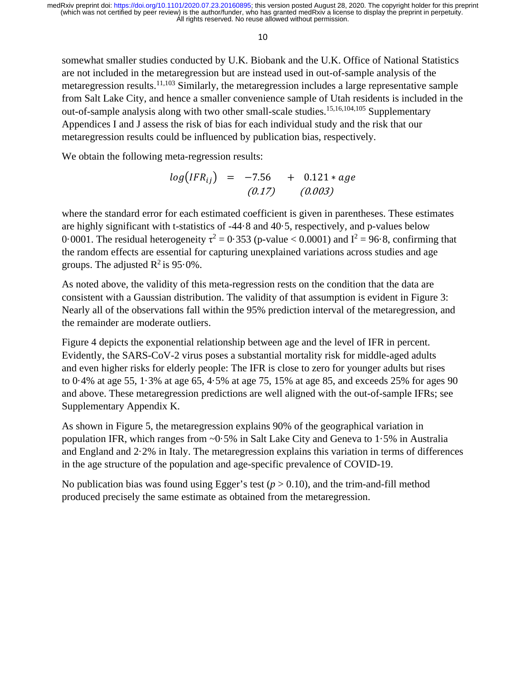10

somewhat smaller studies conducted by U.K. Biobank and the U.K. Office of National Statistics are not included in the metaregression but are instead used in out-of-sample analysis of the metaregression results.<sup>11,103</sup> Similarly, the metaregression includes a large representative sample from Salt Lake City, and hence a smaller convenience sample of Utah residents is included in the out-of-sample analysis along with two other small-scale studies. 15,16,104,105 Supplementary Appendices I and J assess the risk of bias for each individual study and the risk that our metaregression results could be influenced by publication bias, respectively.

We obtain the following meta-regression results:

$$
log(IFR_{ij}) = -7.56 + 0.121 * age
$$
  
(0.17) (0.003)

where the standard error for each estimated coefficient is given in parentheses. These estimates are highly significant with t-statistics of -44·8 and 40·5, respectively, and p-values below 0.0001. The residual heterogeneity  $\tau^2 = 0.353$  (p-value < 0.0001) and  $I^2 = 96.8$ , confirming that the random effects are essential for capturing unexplained variations across studies and age groups. The adjusted  $R^2$  is 95.0%.

As noted above, the validity of this meta-regression rests on the condition that the data are consistent with a Gaussian distribution. The validity of that assumption is evident in Figure 3: Nearly all of the observations fall within the 95% prediction interval of the metaregression, and the remainder are moderate outliers.

Figure 4 depicts the exponential relationship between age and the level of IFR in percent. Evidently, the SARS-CoV-2 virus poses a substantial mortality risk for middle-aged adults and even higher risks for elderly people: The IFR is close to zero for younger adults but rises to 0·4% at age 55, 1·3% at age 65, 4·5% at age 75, 15% at age 85, and exceeds 25% for ages 90 and above. These metaregression predictions are well aligned with the out-of-sample IFRs; see Supplementary Appendix K.

As shown in Figure 5, the metaregression explains 90% of the geographical variation in population IFR, which ranges from  $\sim 0.5\%$  in Salt Lake City and Geneva to 1.5% in Australia and England and 2·2% in Italy. The metaregression explains this variation in terms of differences in the age structure of the population and age-specific prevalence of COVID-19.

No publication bias was found using Egger's test  $(p > 0.10)$ , and the trim-and-fill method produced precisely the same estimate as obtained from the metaregression.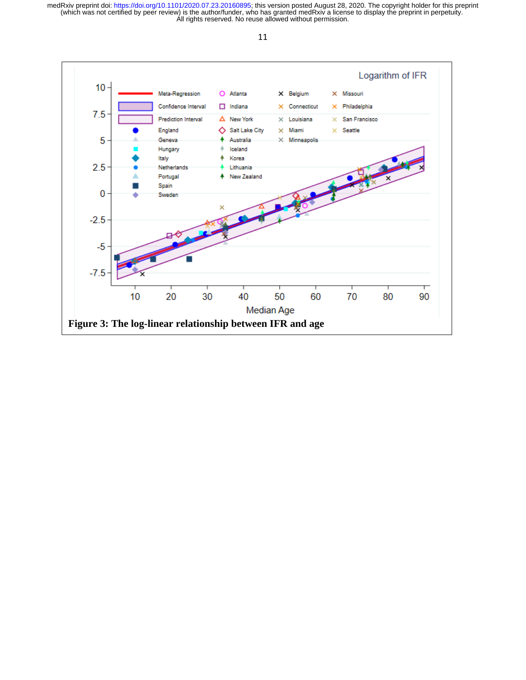

11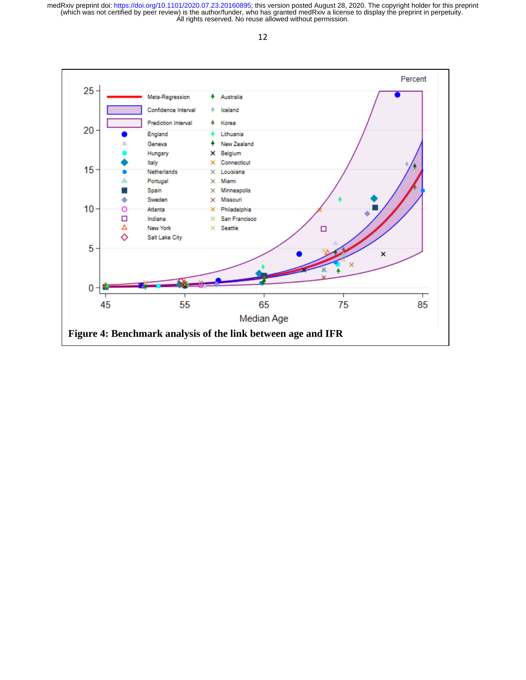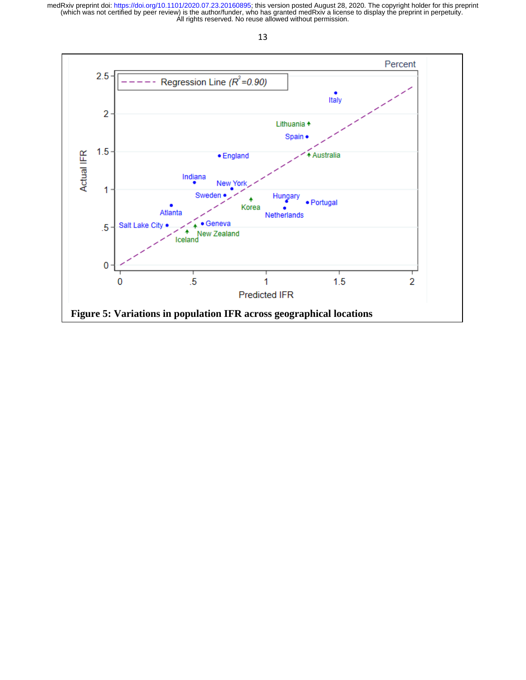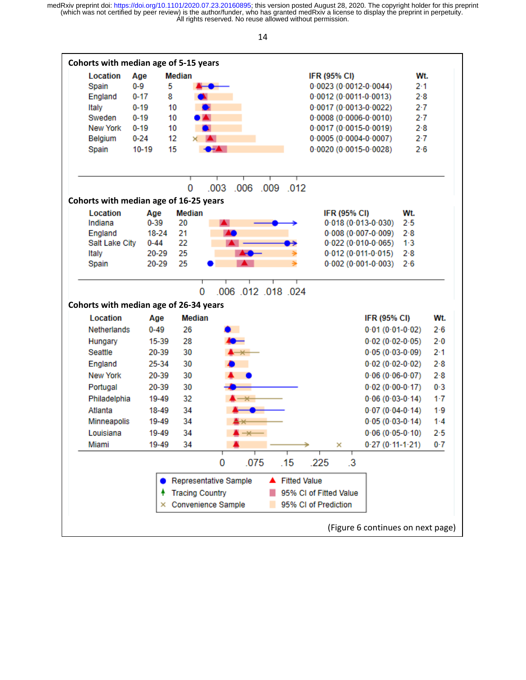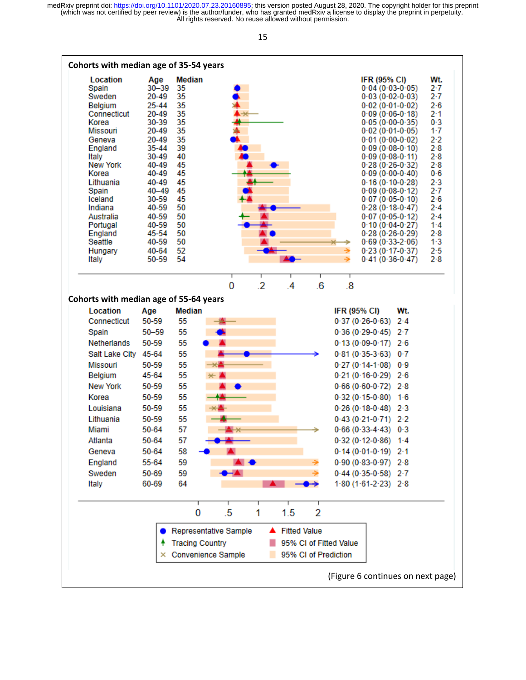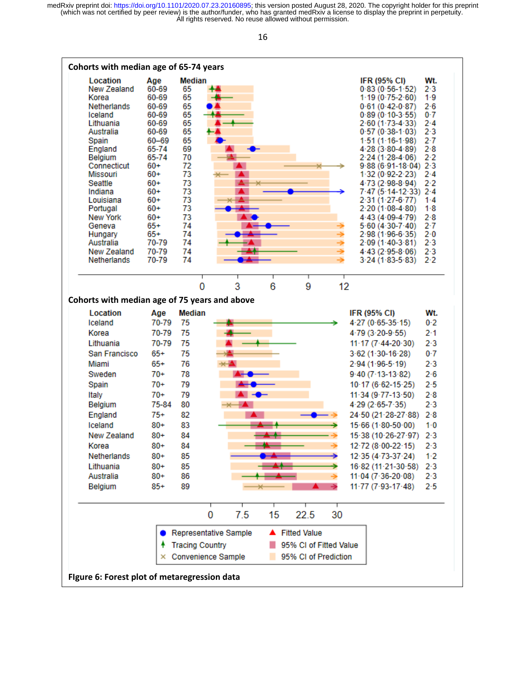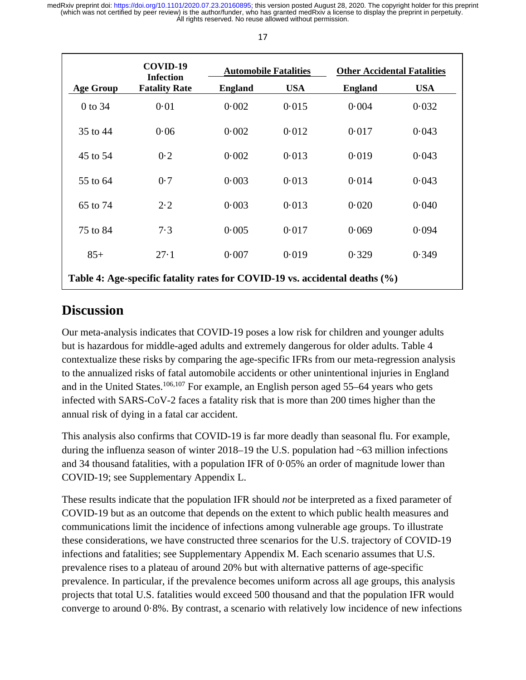|                                                                             | COVID-19<br><b>Infection</b> | <b>Automobile Fatalities</b> |            | <b>Other Accidental Fatalities</b> |            |
|-----------------------------------------------------------------------------|------------------------------|------------------------------|------------|------------------------------------|------------|
| <b>Age Group</b>                                                            | <b>Fatality Rate</b>         | <b>England</b>               | <b>USA</b> | <b>England</b>                     | <b>USA</b> |
| 0 to 34                                                                     | 0.01                         | 0.002                        | 0.015      | 0.004                              | 0.032      |
| 35 to 44                                                                    | 0.06                         | 0.002                        | 0.012      | 0.017                              | 0.043      |
| 45 to 54                                                                    | 0.2                          | 0.002                        | 0.013      | 0.019                              | 0.043      |
| 55 to 64                                                                    | 0.7                          | 0.003                        | 0.013      | 0.014                              | 0.043      |
| 65 to 74                                                                    | $2 \cdot 2$                  | 0.003                        | 0.013      | 0.020                              | 0.040      |
| 75 to 84                                                                    | 7.3                          | 0.005                        | 0.017      | 0.069                              | 0.094      |
| $85+$                                                                       | 27.1                         | 0.007                        | 0.019      | 0.329                              | 0.349      |
| Table 4: Age-specific fatality rates for COVID-19 vs. accidental deaths (%) |                              |                              |            |                                    |            |

# **Discussion**

Our meta-analysis indicates that COVID-19 poses a low risk for children and younger adults but is hazardous for middle-aged adults and extremely dangerous for older adults. Table 4 contextualize these risks by comparing the age-specific IFRs from our meta-regression analysis to the annualized risks of fatal automobile accidents or other unintentional injuries in England and in the United States.<sup>106,107</sup> For example, an English person aged 55–64 years who gets infected with SARS-CoV-2 faces a fatality risk that is more than 200 times higher than the annual risk of dying in a fatal car accident.

This analysis also confirms that COVID-19 is far more deadly than seasonal flu. For example, during the influenza season of winter 2018–19 the U.S. population had  $\sim 63$  million infections and 34 thousand fatalities, with a population IFR of 0·05% an order of magnitude lower than COVID-19; see Supplementary Appendix L.

These results indicate that the population IFR should *not* be interpreted as a fixed parameter of COVID-19 but as an outcome that depends on the extent to which public health measures and communications limit the incidence of infections among vulnerable age groups. To illustrate these considerations, we have constructed three scenarios for the U.S. trajectory of COVID-19 infections and fatalities; see Supplementary Appendix M. Each scenario assumes that U.S. prevalence rises to a plateau of around 20% but with alternative patterns of age-specific prevalence. In particular, if the prevalence becomes uniform across all age groups, this analysis projects that total U.S. fatalities would exceed 500 thousand and that the population IFR would converge to around 0·8%. By contrast, a scenario with relatively low incidence of new infections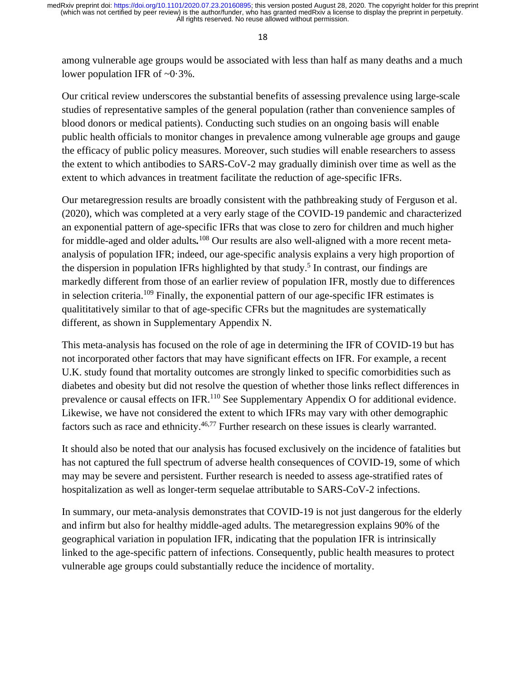among vulnerable age groups would be associated with less than half as many deaths and a much lower population IFR of  $\sim 0.3\%$ .

Our critical review underscores the substantial benefits of assessing prevalence using large-scale studies of representative samples of the general population (rather than convenience samples of blood donors or medical patients). Conducting such studies on an ongoing basis will enable public health officials to monitor changes in prevalence among vulnerable age groups and gauge the efficacy of public policy measures. Moreover, such studies will enable researchers to assess the extent to which antibodies to SARS-CoV-2 may gradually diminish over time as well as the extent to which advances in treatment facilitate the reduction of age-specific IFRs.

Our metaregression results are broadly consistent with the pathbreaking study of Ferguson et al. (2020), which was completed at a very early stage of the COVID-19 pandemic and characterized an exponential pattern of age-specific IFRs that was close to zero for children and much higher for middle-aged and older adults*.* <sup>108</sup> Our results are also well-aligned with a more recent metaanalysis of population IFR; indeed, our age-specific analysis explains a very high proportion of the dispersion in population IFRs highlighted by that study.<sup>5</sup> In contrast, our findings are markedly different from those of an earlier review of population IFR, mostly due to differences in selection criteria.109 Finally, the exponential pattern of our age-specific IFR estimates is qualititatively similar to that of age-specific CFRs but the magnitudes are systematically different, as shown in Supplementary Appendix N.

This meta-analysis has focused on the role of age in determining the IFR of COVID-19 but has not incorporated other factors that may have significant effects on IFR. For example, a recent U.K. study found that mortality outcomes are strongly linked to specific comorbidities such as diabetes and obesity but did not resolve the question of whether those links reflect differences in prevalence or causal effects on IFR.<sup>110</sup> See Supplementary Appendix O for additional evidence. Likewise, we have not considered the extent to which IFRs may vary with other demographic factors such as race and ethnicity.<sup>46,77</sup> Further research on these issues is clearly warranted.

It should also be noted that our analysis has focused exclusively on the incidence of fatalities but has not captured the full spectrum of adverse health consequences of COVID-19, some of which may may be severe and persistent. Further research is needed to assess age-stratified rates of hospitalization as well as longer-term sequelae attributable to SARS-CoV-2 infections.

In summary, our meta-analysis demonstrates that COVID-19 is not just dangerous for the elderly and infirm but also for healthy middle-aged adults. The metaregression explains 90% of the geographical variation in population IFR, indicating that the population IFR is intrinsically linked to the age-specific pattern of infections. Consequently, public health measures to protect vulnerable age groups could substantially reduce the incidence of mortality.

18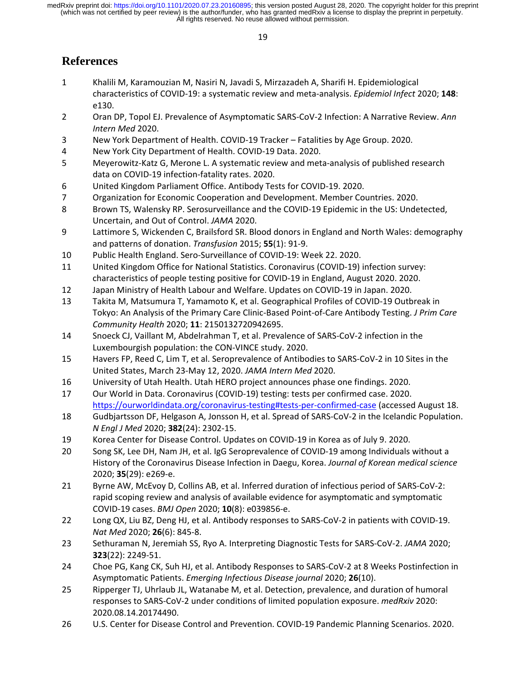# **References**

- 1 Khalili M, Karamouzian M, Nasiri N, Javadi S, Mirzazadeh A, Sharifi H. Epidemiological characteristics of COVID-19: a systematic review and meta-analysis. *Epidemiol Infect* 2020; **148**: e130.
- 2 Oran DP, Topol EJ. Prevalence of Asymptomatic SARS-CoV-2 Infection: A Narrative Review. *Ann Intern Med* 2020.
- 3 New York Department of Health. COVID-19 Tracker Fatalities by Age Group. 2020.
- 4 New York City Department of Health. COVID-19 Data. 2020.
- 5 Meyerowitz-Katz G, Merone L. A systematic review and meta-analysis of published research data on COVID-19 infection-fatality rates. 2020.
- 6 United Kingdom Parliament Office. Antibody Tests for COVID-19. 2020.
- 7 Organization for Economic Cooperation and Development. Member Countries. 2020.
- 8 Brown TS, Walensky RP. Serosurveillance and the COVID-19 Epidemic in the US: Undetected, Uncertain, and Out of Control. *JAMA* 2020.
- 9 Lattimore S, Wickenden C, Brailsford SR. Blood donors in England and North Wales: demography and patterns of donation. *Transfusion* 2015; **55**(1): 91-9.
- 10 Public Health England. Sero-Surveillance of COVID-19: Week 22. 2020.
- 11 United Kingdom Office for National Statistics. Coronavirus (COVID-19) infection survey: characteristics of people testing positive for COVID-19 in England, August 2020. 2020.
- 12 Japan Ministry of Health Labour and Welfare. Updates on COVID-19 in Japan. 2020.
- 13 Takita M, Matsumura T, Yamamoto K, et al. Geographical Profiles of COVID-19 Outbreak in Tokyo: An Analysis of the Primary Care Clinic-Based Point-of-Care Antibody Testing. *J Prim Care Community Health* 2020; **11**: 2150132720942695.
- 14 Snoeck CJ, Vaillant M, Abdelrahman T, et al. Prevalence of SARS-CoV-2 infection in the Luxembourgish population: the CON-VINCE study. 2020.
- 15 Havers FP, Reed C, Lim T, et al. Seroprevalence of Antibodies to SARS-CoV-2 in 10 Sites in the United States, March 23-May 12, 2020. *JAMA Intern Med* 2020.
- 16 University of Utah Health. Utah HERO project announces phase one findings. 2020.
- 17 Our World in Data. Coronavirus (COVID-19) testing: tests per confirmed case. 2020. <https://ourworldindata.org/coronavirus-testing#tests-per-confirmed-case> (accessed August 18.
- 18 Gudbjartsson DF, Helgason A, Jonsson H, et al. Spread of SARS-CoV-2 in the Icelandic Population. *N Engl J Med* 2020; **382**(24): 2302-15.
- 19 Korea Center for Disease Control. Updates on COVID-19 in Korea as of July 9. 2020.
- 20 Song SK, Lee DH, Nam JH, et al. IgG Seroprevalence of COVID-19 among Individuals without a History of the Coronavirus Disease Infection in Daegu, Korea. *Journal of Korean medical science* 2020; **35**(29): e269-e.
- 21 Byrne AW, McEvoy D, Collins AB, et al. Inferred duration of infectious period of SARS-CoV-2: rapid scoping review and analysis of available evidence for asymptomatic and symptomatic COVID-19 cases. *BMJ Open* 2020; **10**(8): e039856-e.
- 22 Long QX, Liu BZ, Deng HJ, et al. Antibody responses to SARS-CoV-2 in patients with COVID-19. *Nat Med* 2020; **26**(6): 845-8.
- 23 Sethuraman N, Jeremiah SS, Ryo A. Interpreting Diagnostic Tests for SARS-CoV-2. *JAMA* 2020; **323**(22): 2249-51.
- 24 Choe PG, Kang CK, Suh HJ, et al. Antibody Responses to SARS-CoV-2 at 8 Weeks Postinfection in Asymptomatic Patients. *Emerging Infectious Disease journal* 2020; **26**(10).
- 25 Ripperger TJ, Uhrlaub JL, Watanabe M, et al. Detection, prevalence, and duration of humoral responses to SARS-CoV-2 under conditions of limited population exposure. *medRxiv* 2020: 2020.08.14.20174490.
- 26 U.S. Center for Disease Control and Prevention. COVID-19 Pandemic Planning Scenarios. 2020.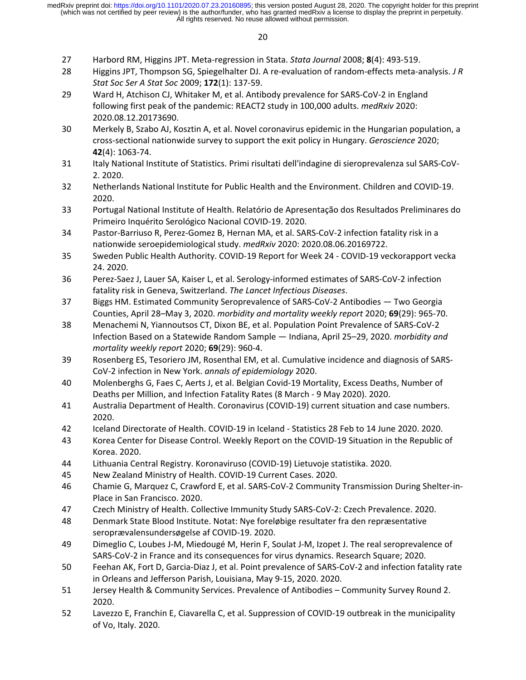- 27 Harbord RM, Higgins JPT. Meta-regression in Stata. *Stata Journal* 2008; **8**(4): 493-519.
- 28 Higgins JPT, Thompson SG, Spiegelhalter DJ. A re-evaluation of random-effects meta-analysis. *J R Stat Soc Ser A Stat Soc* 2009; **172**(1): 137-59.
- 29 Ward H, Atchison CJ, Whitaker M, et al. Antibody prevalence for SARS-CoV-2 in England following first peak of the pandemic: REACT2 study in 100,000 adults. *medRxiv* 2020: 2020.08.12.20173690.
- 30 Merkely B, Szabo AJ, Kosztin A, et al. Novel coronavirus epidemic in the Hungarian population, a cross-sectional nationwide survey to support the exit policy in Hungary. *Geroscience* 2020; **42**(4): 1063-74.
- 31 Italy National Institute of Statistics. Primi risultati dell'indagine di sieroprevalenza sul SARS-CoV-2. 2020.
- 32 Netherlands National Institute for Public Health and the Environment. Children and COVID-19. 2020.
- 33 Portugal National Institute of Health. Relatório de Apresentação dos Resultados Preliminares do Primeiro Inquérito Serológico Nacional COVID-19. 2020.
- 34 Pastor-Barriuso R, Perez-Gomez B, Hernan MA, et al. SARS-CoV-2 infection fatality risk in a nationwide seroepidemiological study. *medRxiv* 2020: 2020.08.06.20169722.
- 35 Sweden Public Health Authority. COVID-19 Report for Week 24 COVID-19 veckorapport vecka 24. 2020.
- 36 Perez-Saez J, Lauer SA, Kaiser L, et al. Serology-informed estimates of SARS-CoV-2 infection fatality risk in Geneva, Switzerland. *The Lancet Infectious Diseases*.
- 37 Biggs HM. Estimated Community Seroprevalence of SARS-CoV-2 Antibodies Two Georgia Counties, April 28–May 3, 2020. *morbidity and mortality weekly report* 2020; **69**(29): 965-70.
- 38 Menachemi N, Yiannoutsos CT, Dixon BE, et al. Population Point Prevalence of SARS-CoV-2 Infection Based on a Statewide Random Sample — Indiana, April 25–29, 2020. *morbidity and mortality weekly report* 2020; **69**(29): 960-4.
- 39 Rosenberg ES, Tesoriero JM, Rosenthal EM, et al. Cumulative incidence and diagnosis of SARS-CoV-2 infection in New York. *annals of epidemiology* 2020.
- 40 Molenberghs G, Faes C, Aerts J, et al. Belgian Covid-19 Mortality, Excess Deaths, Number of Deaths per Million, and Infection Fatality Rates (8 March - 9 May 2020). 2020.
- 41 Australia Department of Health. Coronavirus (COVID-19) current situation and case numbers. 2020.
- 42 Iceland Directorate of Health. COVID-19 in Iceland Statistics 28 Feb to 14 June 2020. 2020.
- 43 Korea Center for Disease Control. Weekly Report on the COVID-19 Situation in the Republic of Korea. 2020.
- 44 Lithuania Central Registry. Koronaviruso (COVID-19) Lietuvoje statistika. 2020.
- 45 New Zealand Ministry of Health. COVID-19 Current Cases. 2020.
- 46 Chamie G, Marquez C, Crawford E, et al. SARS-CoV-2 Community Transmission During Shelter-in-Place in San Francisco. 2020.
- 47 Czech Ministry of Health. Collective Immunity Study SARS-CoV-2: Czech Prevalence. 2020.
- 48 Denmark State Blood Institute. Notat: Nye foreløbige resultater fra den repræsentative seroprævalensundersøgelse af COVID-19. 2020.
- 49 Dimeglio C, Loubes J-M, Miedougé M, Herin F, Soulat J-M, Izopet J. The real seroprevalence of SARS-CoV-2 in France and its consequences for virus dynamics. Research Square; 2020.
- 50 Feehan AK, Fort D, Garcia-Diaz J, et al. Point prevalence of SARS-CoV-2 and infection fatality rate in Orleans and Jefferson Parish, Louisiana, May 9-15, 2020. 2020.
- 51 Jersey Health & Community Services. Prevalence of Antibodies Community Survey Round 2. 2020.
- 52 Lavezzo E, Franchin E, Ciavarella C, et al. Suppression of COVID-19 outbreak in the municipality of Vo, Italy. 2020.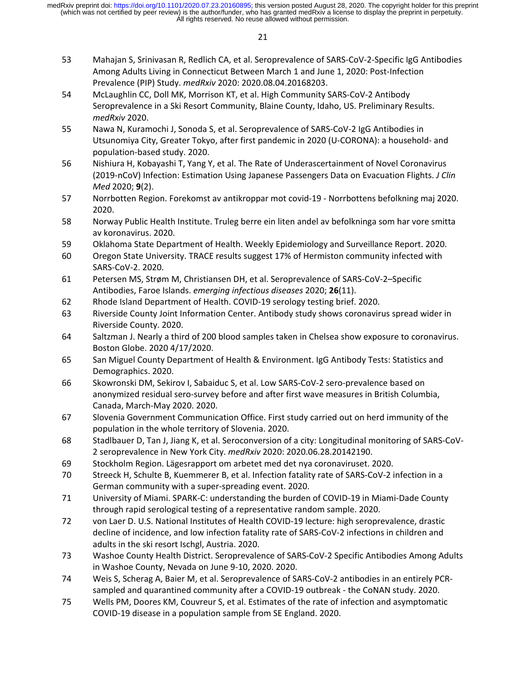- 53 Mahajan S, Srinivasan R, Redlich CA, et al. Seroprevalence of SARS-CoV-2-Specific IgG Antibodies Among Adults Living in Connecticut Between March 1 and June 1, 2020: Post-Infection Prevalence (PIP) Study. *medRxiv* 2020: 2020.08.04.20168203.
- 54 McLaughlin CC, Doll MK, Morrison KT, et al. High Community SARS-CoV-2 Antibody Seroprevalence in a Ski Resort Community, Blaine County, Idaho, US. Preliminary Results. *medRxiv* 2020.
- 55 Nawa N, Kuramochi J, Sonoda S, et al. Seroprevalence of SARS-CoV-2 IgG Antibodies in Utsunomiya City, Greater Tokyo, after first pandemic in 2020 (U-CORONA): a household- and population-based study. 2020.
- 56 Nishiura H, Kobayashi T, Yang Y, et al. The Rate of Underascertainment of Novel Coronavirus (2019-nCoV) Infection: Estimation Using Japanese Passengers Data on Evacuation Flights. *J Clin Med* 2020; **9**(2).
- 57 Norrbotten Region. Forekomst av antikroppar mot covid-19 Norrbottens befolkning maj 2020. 2020.
- 58 Norway Public Health Institute. Truleg berre ein liten andel av befolkninga som har vore smitta av koronavirus. 2020.
- 59 Oklahoma State Department of Health. Weekly Epidemiology and Surveillance Report. 2020.
- 60 Oregon State University. TRACE results suggest 17% of Hermiston community infected with SARS-CoV-2. 2020.
- 61 Petersen MS, Strøm M, Christiansen DH, et al. Seroprevalence of SARS-CoV-2–Specific Antibodies, Faroe Islands. *emerging infectious diseases* 2020; **26**(11).
- 62 Rhode Island Department of Health. COVID-19 serology testing brief. 2020.
- 63 Riverside County Joint Information Center. Antibody study shows coronavirus spread wider in Riverside County. 2020.
- 64 Saltzman J. Nearly a third of 200 blood samples taken in Chelsea show exposure to coronavirus. Boston Globe. 2020 4/17/2020.
- 65 San Miguel County Department of Health & Environment. IgG Antibody Tests: Statistics and Demographics. 2020.
- 66 Skowronski DM, Sekirov I, Sabaiduc S, et al. Low SARS-CoV-2 sero-prevalence based on anonymized residual sero-survey before and after first wave measures in British Columbia, Canada, March-May 2020. 2020.
- 67 Slovenia Government Communication Office. First study carried out on herd immunity of the population in the whole territory of Slovenia. 2020.
- 68 Stadlbauer D, Tan J, Jiang K, et al. Seroconversion of a city: Longitudinal monitoring of SARS-CoV-2 seroprevalence in New York City. *medRxiv* 2020: 2020.06.28.20142190.
- 69 Stockholm Region. Lägesrapport om arbetet med det nya coronaviruset. 2020.
- 70 Streeck H, Schulte B, Kuemmerer B, et al. Infection fatality rate of SARS-CoV-2 infection in a German community with a super-spreading event. 2020.
- 71 University of Miami. SPARK-C: understanding the burden of COVID-19 in Miami-Dade County through rapid serological testing of a representative random sample. 2020.
- 72 von Laer D. U.S. National Institutes of Health COVID-19 lecture: high seroprevalence, drastic decline of incidence, and low infection fatality rate of SARS-CoV-2 infections in children and adults in the ski resort Ischgl, Austria. 2020.
- 73 Washoe County Health District. Seroprevalence of SARS-CoV-2 Specific Antibodies Among Adults in Washoe County, Nevada on June 9-10, 2020. 2020.
- 74 Weis S, Scherag A, Baier M, et al. Seroprevalence of SARS-CoV-2 antibodies in an entirely PCRsampled and quarantined community after a COVID-19 outbreak - the CoNAN study. 2020.
- 75 Wells PM, Doores KM, Couvreur S, et al. Estimates of the rate of infection and asymptomatic COVID-19 disease in a population sample from SE England. 2020.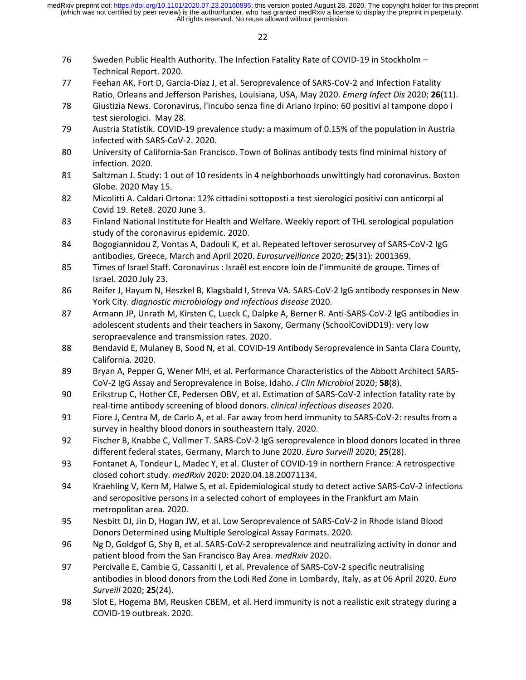- 76 Sweden Public Health Authority. The Infection Fatality Rate of COVID-19 in Stockholm Technical Report. 2020.
- 77 Feehan AK, Fort D, Garcia-Diaz J, et al. Seroprevalence of SARS-CoV-2 and Infection Fatality Ratio, Orleans and Jefferson Parishes, Louisiana, USA, May 2020. *Emerg Infect Dis* 2020; **26**(11).
- 78 Giustizia News. Coronavirus, l'incubo senza fine di Ariano Irpino: 60 positivi al tampone dopo i test sierologici. May 28.
- 79 Austria Statistik. COVID-19 prevalence study: a maximum of 0.15% of the population in Austria infected with SARS-CoV-2. 2020.
- 80 University of California-San Francisco. Town of Bolinas antibody tests find minimal history of infection. 2020.
- 81 Saltzman J. Study: 1 out of 10 residents in 4 neighborhoods unwittingly had coronavirus. Boston Globe. 2020 May 15.
- 82 Micolitti A. Caldari Ortona: 12% cittadini sottoposti a test sierologici positivi con anticorpi al Covid 19. Rete8. 2020 June 3.
- 83 Finland National Institute for Health and Welfare. Weekly report of THL serological population study of the coronavirus epidemic. 2020.
- 84 Bogogiannidou Z, Vontas A, Dadouli K, et al. Repeated leftover serosurvey of SARS-CoV-2 IgG antibodies, Greece, March and April 2020. *Eurosurveillance* 2020; **25**(31): 2001369.
- 85 Times of Israel Staff. Coronavirus : Israël est encore loin de l'immunité de groupe. Times of Israel. 2020 July 23.
- 86 Reifer J, Hayum N, Heszkel B, Klagsbald I, Streva VA. SARS-CoV-2 IgG antibody responses in New York City. *diagnostic microbiology and infectious disease* 2020.
- 87 Armann JP, Unrath M, Kirsten C, Lueck C, Dalpke A, Berner R. Anti-SARS-CoV-2 IgG antibodies in adolescent students and their teachers in Saxony, Germany (SchoolCoviDD19): very low seropraevalence and transmission rates. 2020.
- 88 Bendavid E, Mulaney B, Sood N, et al. COVID-19 Antibody Seroprevalence in Santa Clara County, California. 2020.
- 89 Bryan A, Pepper G, Wener MH, et al. Performance Characteristics of the Abbott Architect SARS-CoV-2 IgG Assay and Seroprevalence in Boise, Idaho. *J Clin Microbiol* 2020; **58**(8).
- 90 Erikstrup C, Hother CE, Pedersen OBV, et al. Estimation of SARS-CoV-2 infection fatality rate by real-time antibody screening of blood donors. *clinical infectious diseases* 2020.
- 91 Fiore J, Centra M, de Carlo A, et al. Far away from herd immunity to SARS-CoV-2: results from a survey in healthy blood donors in southeastern Italy. 2020.
- 92 Fischer B, Knabbe C, Vollmer T. SARS-CoV-2 IgG seroprevalence in blood donors located in three different federal states, Germany, March to June 2020. *Euro Surveill* 2020; **25**(28).
- 93 Fontanet A, Tondeur L, Madec Y, et al. Cluster of COVID-19 in northern France: A retrospective closed cohort study. *medRxiv* 2020: 2020.04.18.20071134.
- 94 Kraehling V, Kern M, Halwe S, et al. Epidemiological study to detect active SARS-CoV-2 infections and seropositive persons in a selected cohort of employees in the Frankfurt am Main metropolitan area. 2020.
- 95 Nesbitt DJ, Jin D, Hogan JW, et al. Low Seroprevalence of SARS-CoV-2 in Rhode Island Blood Donors Determined using Multiple Serological Assay Formats. 2020.
- 96 Ng D, Goldgof G, Shy B, et al. SARS-CoV-2 seroprevalence and neutralizing activity in donor and patient blood from the San Francisco Bay Area. *medRxiv* 2020.
- 97 Percivalle E, Cambie G, Cassaniti I, et al. Prevalence of SARS-CoV-2 specific neutralising antibodies in blood donors from the Lodi Red Zone in Lombardy, Italy, as at 06 April 2020. *Euro Surveill* 2020; **25**(24).
- 98 Slot E, Hogema BM, Reusken CBEM, et al. Herd immunity is not a realistic exit strategy during a COVID-19 outbreak. 2020.